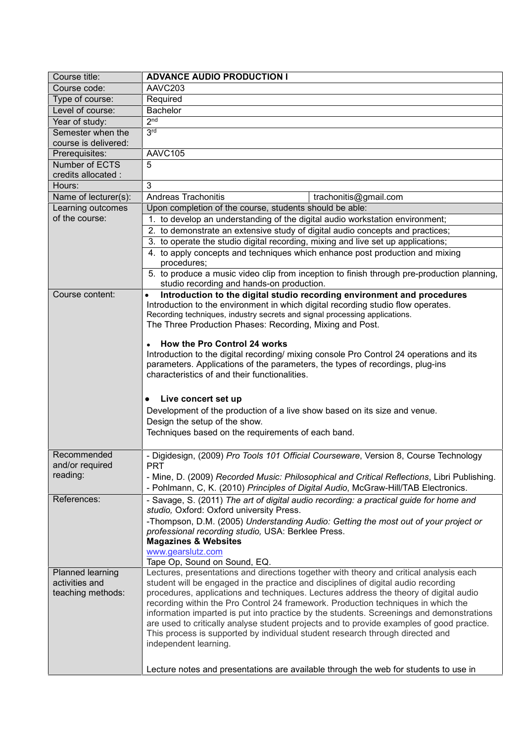| Course title:        | <b>ADVANCE AUDIO PRODUCTION I</b>                                                                                                                                        |  |  |
|----------------------|--------------------------------------------------------------------------------------------------------------------------------------------------------------------------|--|--|
| Course code:         | AAVC203                                                                                                                                                                  |  |  |
| Type of course:      | Required                                                                                                                                                                 |  |  |
| Level of course:     | <b>Bachelor</b>                                                                                                                                                          |  |  |
| Year of study:       | 2 <sub>nd</sub>                                                                                                                                                          |  |  |
| Semester when the    | 3 <sub>rd</sub>                                                                                                                                                          |  |  |
| course is delivered: |                                                                                                                                                                          |  |  |
| Prerequisites:       | AAVC105                                                                                                                                                                  |  |  |
| Number of ECTS       | 5                                                                                                                                                                        |  |  |
| credits allocated :  |                                                                                                                                                                          |  |  |
| Hours:               | 3                                                                                                                                                                        |  |  |
| Name of lecturer(s): | <b>Andreas Trachonitis</b><br>trachonitis@gmail.com                                                                                                                      |  |  |
| Learning outcomes    | Upon completion of the course, students should be able:<br>1. to develop an understanding of the digital audio workstation environment;                                  |  |  |
| of the course:       |                                                                                                                                                                          |  |  |
|                      | 2. to demonstrate an extensive study of digital audio concepts and practices;                                                                                            |  |  |
|                      | 3. to operate the studio digital recording, mixing and live set up applications;                                                                                         |  |  |
|                      | 4. to apply concepts and techniques which enhance post production and mixing                                                                                             |  |  |
|                      | procedures;                                                                                                                                                              |  |  |
|                      | 5. to produce a music video clip from inception to finish through pre-production planning,                                                                               |  |  |
| Course content:      | studio recording and hands-on production.                                                                                                                                |  |  |
|                      | Introduction to the digital studio recording environment and procedures<br>$\bullet$<br>Introduction to the environment in which digital recording studio flow operates. |  |  |
|                      | Recording techniques, industry secrets and signal processing applications.                                                                                               |  |  |
|                      | The Three Production Phases: Recording, Mixing and Post.                                                                                                                 |  |  |
|                      |                                                                                                                                                                          |  |  |
|                      | How the Pro Control 24 works                                                                                                                                             |  |  |
|                      | Introduction to the digital recording/ mixing console Pro Control 24 operations and its                                                                                  |  |  |
|                      | parameters. Applications of the parameters, the types of recordings, plug-ins                                                                                            |  |  |
|                      | characteristics of and their functionalities.                                                                                                                            |  |  |
|                      |                                                                                                                                                                          |  |  |
|                      | Live concert set up                                                                                                                                                      |  |  |
|                      | Development of the production of a live show based on its size and venue.                                                                                                |  |  |
|                      | Design the setup of the show.                                                                                                                                            |  |  |
|                      | Techniques based on the requirements of each band.                                                                                                                       |  |  |
|                      |                                                                                                                                                                          |  |  |
| Recommended          | - Digidesign, (2009) Pro Tools 101 Official Courseware, Version 8, Course Technology                                                                                     |  |  |
| and/or required      | <b>PRT</b>                                                                                                                                                               |  |  |
| reading:             | - Mine, D. (2009) Recorded Music: Philosophical and Critical Reflections, Libri Publishing.                                                                              |  |  |
|                      | - Pohlmann, C, K. (2010) Principles of Digital Audio, McGraw-Hill/TAB Electronics.                                                                                       |  |  |
| References:          | - Savage, S. (2011) The art of digital audio recording: a practical guide for home and                                                                                   |  |  |
|                      | studio, Oxford: Oxford university Press.                                                                                                                                 |  |  |
|                      | -Thompson, D.M. (2005) Understanding Audio: Getting the most out of your project or                                                                                      |  |  |
|                      | professional recording studio, USA: Berklee Press.<br><b>Magazines &amp; Websites</b>                                                                                    |  |  |
|                      | www.gearslutz.com                                                                                                                                                        |  |  |
|                      | Tape Op, Sound on Sound, EQ.                                                                                                                                             |  |  |
| Planned learning     | Lectures, presentations and directions together with theory and critical analysis each                                                                                   |  |  |
| activities and       | student will be engaged in the practice and disciplines of digital audio recording                                                                                       |  |  |
| teaching methods:    | procedures, applications and techniques. Lectures address the theory of digital audio                                                                                    |  |  |
|                      | recording within the Pro Control 24 framework. Production techniques in which the                                                                                        |  |  |
|                      | information imparted is put into practice by the students. Screenings and demonstrations                                                                                 |  |  |
|                      | are used to critically analyse student projects and to provide examples of good practice.                                                                                |  |  |
|                      | This process is supported by individual student research through directed and                                                                                            |  |  |
|                      | independent learning.                                                                                                                                                    |  |  |
|                      |                                                                                                                                                                          |  |  |
|                      | Lecture notes and presentations are available through the web for students to use in                                                                                     |  |  |